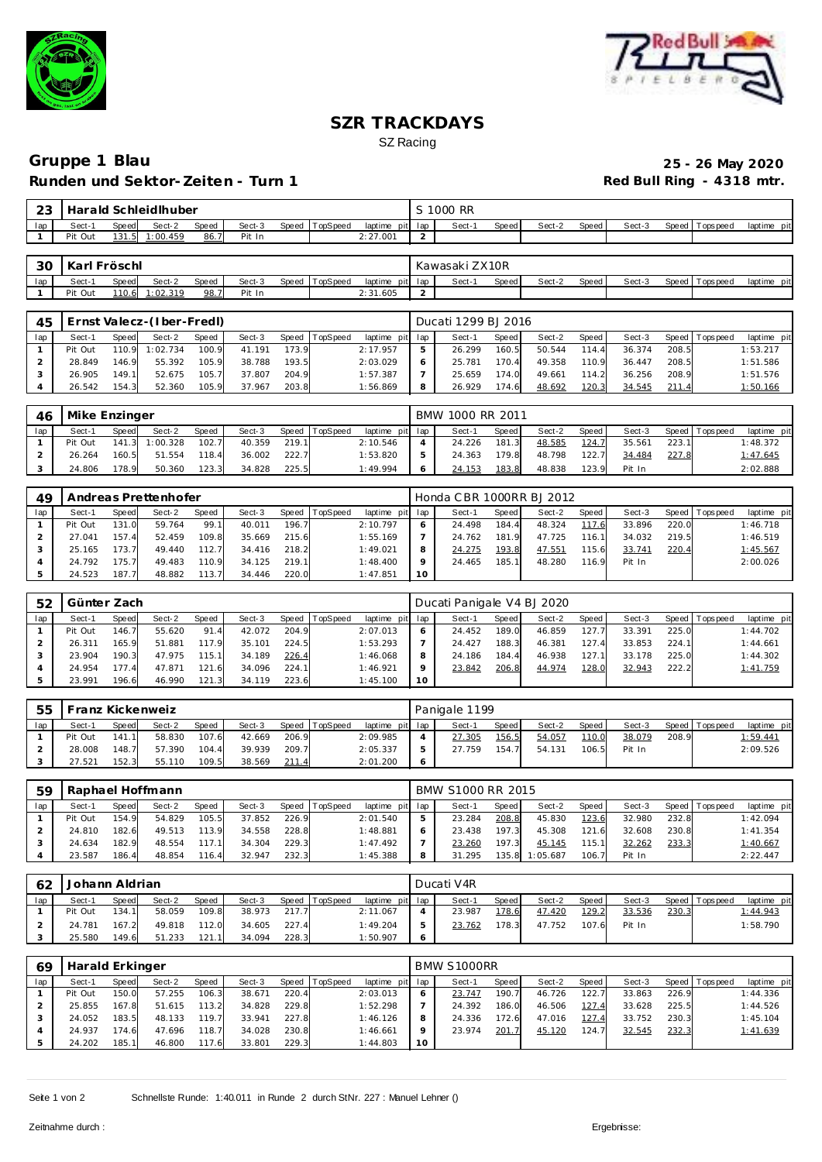



# **SZR TRACKDAYS** SZ Racing

## **Gruppe 1 Blau 25 - 26 May 2020 Runden und Sektor-Zeiten - Turn 1**

| -23 |         |                                                                         | Harald Schleidlhuber |      |        |  |  |          |        | S 1000 RR |       |        |       |        |                   |             |
|-----|---------|-------------------------------------------------------------------------|----------------------|------|--------|--|--|----------|--------|-----------|-------|--------|-------|--------|-------------------|-------------|
| lap | Sect-1  | Speed TopSpeed<br>Sect-3<br>Sect-2<br>Speed<br>laptime pit lap<br>Speed |                      |      |        |  |  |          |        | Sect-     | Speed | Sect-2 | Speed | Sect-3 | Speed   Tops peed | laptime pit |
|     | Pit Out |                                                                         | 131.5 1:00.459       | 86.7 | Pit In |  |  | 2:27.001 | $\sim$ |           |       |        |       |        |                   |             |
|     |         |                                                                         |                      |      |        |  |  |          |        |           |       |        |       |        |                   |             |

| 30  | Karl    | ` Fröschl_   |         |       |        |       |          |                 | Kawasaki ZX10R |       |        |       |        |                         |             |
|-----|---------|--------------|---------|-------|--------|-------|----------|-----------------|----------------|-------|--------|-------|--------|-------------------------|-------------|
| lap | Sect-1  | <b>Speed</b> | Sect-2  | Speed | Sect-3 | Speed | TopSpeed | laptime pit lap | Sect-1         | Speed | Sect-2 | Speed | Sect-3 | Speed   T<br>Fops pee d | laptime pit |
|     | Pit Out | 110.6        | :02.319 | 98.7  | Pit In |       |          | 2:31.605        |                |       |        |       |        |                         |             |

| 45  | Ernst Valecz-(Iber-FredI)<br>Speed TopSpeed<br>Sect-3<br>Sect-2<br>Speed<br>Speed<br>Sect-1<br>110.9 1:02.734<br>100.9<br>173.9<br>41.191<br>Pit Out |       |        |       |        |       |  |                 |   | Ducati 1299 BJ 2016 |       |        |       |        |       |                 |             |
|-----|------------------------------------------------------------------------------------------------------------------------------------------------------|-------|--------|-------|--------|-------|--|-----------------|---|---------------------|-------|--------|-------|--------|-------|-----------------|-------------|
| lap |                                                                                                                                                      |       |        |       |        |       |  | laptime pit lap |   | Sect-1              | Speed | Sect-2 | Speed | Sect-3 |       | Speed Tops peed | laptime pit |
|     |                                                                                                                                                      |       |        |       |        |       |  | 2:17.957        | ь | 26.299              | 160.5 | 50.544 | 114.4 | 36.374 | 208.5 |                 | 1:53.217    |
|     | 28.849                                                                                                                                               | 146.9 | 55.392 | 105.9 | 38.788 | 193.5 |  | 2:03.029        |   | 25.781              | 170.4 | 49.358 | 110.9 | 36.447 | 208.5 |                 | 1:51.586    |
|     | 26.905                                                                                                                                               | 149.1 | 52.675 | 105.7 | 37.807 | 204.9 |  | 1:57.387        |   | 25.659              | 174.0 | 49.661 | 114.2 | 36.256 | 208.9 |                 | 1:51.576    |
|     | 26.542                                                                                                                                               | 154.3 | 52.360 | 105.9 | 37.967 | 203.8 |  | 1:56.869        | 8 | 26.929              | 174.6 | 48.692 | 120.3 | 34.545 | 211.4 |                 | 1:50.166    |

| 46  | Mike Enzinger |       |                |       |        |       |          |                 | BMW 1000 RR 2011 |              |        |       |        |       |                   |                 |
|-----|---------------|-------|----------------|-------|--------|-------|----------|-----------------|------------------|--------------|--------|-------|--------|-------|-------------------|-----------------|
| lap | Sect-1        | Speed | Sect-2         | Speed | Sect-3 | Speed | TopSpeed | laptime pit lap | Sect-1           | <b>Speed</b> | Sect-2 | Speed | Sect-3 |       | Speed   Tops peed | laptime pit     |
|     | Pit Out       |       | 141.3 1:00.328 | 102.7 | 40.359 | 219.1 |          | 2:10.546        | 24.226           | 181.3        | 48.585 | 124.7 | 35.561 | 223.1 |                   | 1:48.372        |
|     | 26.264        | 160.5 | 51.554         | 118.4 | 36.002 | 222.7 |          | 1:53.820        | 24.363           | 179.8        | 48.798 | 122.7 | 34.484 | 227.8 |                   | <u>1:47.645</u> |
|     | 24.806        | 178.9 | 50.360         | 123.3 | 34.828 | 225.5 |          | 1:49.994        | 24.153           | 183.8        | 48.838 | 123.9 | Pit In |       |                   | 2:02.888        |

| 49  |         |       | Andreas Prettenhofer |       |        |       |                  |             |     | Honda CBR 1000RR BJ 2012 |       |        |            |        |       |                |             |
|-----|---------|-------|----------------------|-------|--------|-------|------------------|-------------|-----|--------------------------|-------|--------|------------|--------|-------|----------------|-------------|
| lap | Sect-1  | Speed | Sect-2               | Speed | Sect-3 |       | Speed   TopSpeed | laptime pit | lap | Sect-1                   | Speed | Sect-2 | Speed      | Sect-3 |       | Speed Topspeed | laptime pit |
|     | Pit Out | 131.0 | 59.764               | 99.1  | 40.011 | 196.7 |                  | 2:10.797    | 6   | 24.498                   | 184.4 | 48.324 | 117<br>-61 | 33.896 | 220.0 |                | 1:46.718    |
|     | 27.041  | 157.4 | 52.459               | 109.8 | 35.669 | 215.6 |                  | 1:55.169    |     | 24.762                   | 181.9 | 47.725 | 116.1      | 34.032 | 219.5 |                | 1:46.519    |
|     | 25.165  | 73.7  | 49.440               | 112.7 | 34.416 | 218.2 |                  | 1:49.021    | 8   | 24.275                   | 193.8 | 47.551 | 115.6      | 33.741 | 220.4 |                | 1:45.567    |
|     | 24.792  | 75.7  | 49.483               | 110.9 | 34.125 | 219.1 |                  | 1:48.400    | o   | 24.465                   | 185.1 | 48.280 | 116.9      | Pit In |       |                | 2:00.026    |
|     | 24.523  | 187.7 | 48.882               | 113.7 | 34.446 | 220.0 |                  | 1:47.851    | 10  |                          |       |        |            |        |       |                |             |

| 52  | Günter Zach |       |        |       |        |       |                |                 |    | Ducati Panigale V4 BJ 2020 |       |        |       |        |       |                 |             |
|-----|-------------|-------|--------|-------|--------|-------|----------------|-----------------|----|----------------------------|-------|--------|-------|--------|-------|-----------------|-------------|
| lap | Sect-1      | Speed | Sect-2 | Speed | Sect-3 |       | Speed TopSpeed | laptime pit lap |    | Sect-1                     | Speed | Sect-2 | Speed | Sect-3 |       | Speed Tops peed | laptime pit |
|     | Pit Out     | 146.7 | 55.620 | 91.4  | 42.072 | 204.9 |                | 2:07.013        |    | 24.452                     | 189.0 | 46.859 | 127.7 | 33.391 | 225.0 |                 | 1:44.702    |
|     | 26.311      | 165.9 | 51.881 | 117.9 | 35.101 | 224.5 |                | 1:53.293        |    | 24.427                     | 188.3 | 46.381 | 127.4 | 33.853 | 224.1 |                 | 1:44.661    |
|     | 23.904      | 190.3 | 47.975 | 115.1 | 34.189 | 226.4 |                | 1:46.068        |    | 24.186                     | 184.4 | 46.938 | 127.1 | 33.178 | 225.0 |                 | 1:44.302    |
|     | 24.954      | 177.4 | 47.871 | 121.6 | 34.096 | 224.1 |                | 1:46.921        |    | 23.842                     | 206.8 | 44.974 | 128.0 | 32.943 | 222.2 |                 | 1:41.759    |
|     | 23.991      | 196.6 | 46.990 | 121.3 | 34.119 | 223.6 |                | 1:45.100        | 10 |                            |       |        |       |        |       |                 |             |

| 55  |         |       | Franz Kickenweiz |       |        |       |          |                 | Panigale 1199 |       |        |         |        |       |                |                 |
|-----|---------|-------|------------------|-------|--------|-------|----------|-----------------|---------------|-------|--------|---------|--------|-------|----------------|-----------------|
| lap | Sect-1  | Speed | Sect-2           | Speed | Sect-3 | Speed | TopSpeed | laptime pit lap | Sect-1        | Speed | Sect-2 | Speed I | Sect-3 |       | Speed Topspeed | laptime pit     |
|     | Pit Out | 141.1 | 58.830           | 107.6 | 42.669 | 206.9 |          | 2:09.985        | 27.305        | 156.5 | 54.057 | 110.0   | 38.079 | 208.9 |                | <u>1:59.441</u> |
|     | 28.008  | 148.7 | 57.390           | 104.4 | 39.939 | 209.7 |          | 2:05.337        | 27.759        | 154.  | 54.131 | 106.5   | Pit In |       |                | 2:09.526        |
|     | 7.521   | 152.3 | 55.110           | 109.5 | 38.569 | 211.4 |          | 2:01.200        |               |       |        |         |        |       |                |                 |

| 59  | Raphael Hoffmann |       |        |              |        |       |                 |                 | BMW S1000 RR 2015 |              |          |       |        |       |                 |             |
|-----|------------------|-------|--------|--------------|--------|-------|-----------------|-----------------|-------------------|--------------|----------|-------|--------|-------|-----------------|-------------|
| lap | Sect-1           | Speed | Sect-2 | <b>Speed</b> | Sect-3 | Speed | <b>TopSpeed</b> | laptime pit lap | Sect-1            | <b>Speed</b> | Sect-2   | Speed | Sect-3 |       | Speed Tops peed | laptime pit |
|     | Pit Out          | 154.9 | 54.829 | 105.5        | 37.852 | 226.9 |                 | 2:01.540        | 23.284            | 208.8        | 45.830   | 123.6 | 32.980 | 232.8 |                 | 1:42.094    |
|     | 24.810           | 182.6 | 49.513 | 113.9        | 34.558 | 228.8 |                 | 1:48.881        | 23.438            | 197.3        | 45.308   | 121.6 | 32.608 | 230.8 |                 | 1: 41.354   |
|     | 24.634           | 182.9 | 48.554 | 117.1        | 34.304 | 229.3 |                 | 1:47.492        | 23.260            | 197.3        | 45.145   | 15.1  | 32.262 | 233.3 |                 | 1:40.667    |
|     | 23.587           | 186.4 | 48.854 | 116.4        | 32.947 | 232.3 |                 | 1:45.388        | 31.295            | 135.8        | 1:05.687 | 106.7 | Pit In |       |                 | 2:22.447    |

| 62  | Johann Aldrian |              |        |              |        |       |          |                 | Ducati V4R |         |        |       |        |       |                 |                 |
|-----|----------------|--------------|--------|--------------|--------|-------|----------|-----------------|------------|---------|--------|-------|--------|-------|-----------------|-----------------|
| lap | Sect-1         | <b>Speed</b> | Sect-2 | <b>Speed</b> | Sect-3 | Speed | TopSpeed | laptime pit lap | Sect-1     | Speed I | Sect-2 | Speed | Sect-3 |       | Speed Tops peed | laptime pit     |
|     | Pit Out        | 134.1        | 58.059 | 109.8        | 38.973 | 217.7 |          | 2:11.067        | 23.987     | 178.6   | 47.420 | 129.2 | 33.536 | 230.3 |                 | <u>1:44.943</u> |
|     | 24.781         | 167.2        | 49.818 | 112.0        | 34.605 | 227.4 |          | 1:49.204        | 23.762     | 178.3   | 47.752 | 107.6 | Pit In |       |                 | 1:58.790        |
|     | 25.580         | 149.6        | 51.233 | 121.1        | 34.094 | 228.3 |          | 1:50.907        |            |         |        |       |        |       |                 |                 |

| 69  | Harald Erkinger |       |        |       |        |       |                  |                 |    | BMW S1000RR |                |        |       |        |       |                |             |
|-----|-----------------|-------|--------|-------|--------|-------|------------------|-----------------|----|-------------|----------------|--------|-------|--------|-------|----------------|-------------|
| lap | Sect-1          | Speed | Sect-2 | Speed | Sect-3 |       | Speed   TopSpeed | laptime pit lap |    | Sect-1      | Speed          | Sect-2 | Speed | Sect-3 |       | Speed Topspeed | laptime pit |
|     | Pit Out         | 150.0 | 57.255 | 106.3 | 38.671 | 220.4 |                  | 2:03.013        |    | 23.747      | 190.7          | 46.726 | 122.7 | 33.863 | 226.9 |                | 1:44.336    |
|     | 25.855          | 167.8 | 51.615 | 113.2 | 34.828 | 229.8 |                  | 1:52.298        |    | 24.392      | 186.0          | 46.506 | 127.4 | 33.628 | 225.5 |                | 1:44.526    |
|     | 24.052          | 183.5 | 48.133 | 119.7 | 33.941 | 227.8 |                  | 1:46.126        |    | 24.336      | 172.6          | 47.016 | 127.4 | 33.752 | 230.3 |                | 1:45.104    |
|     | 24.937          | 174.6 | 47.696 | 118.7 | 34.028 | 230.8 |                  | 1:46.661        |    | 23.974      | <u> 201. 7</u> | 45.120 | 124.7 | 32.545 | 232.3 |                | 1:41.639    |
|     | 24.202          | 185.1 | 46.800 | 117.6 | 33.801 | 229.3 |                  | 1:44.803        | 10 |             |                |        |       |        |       |                |             |